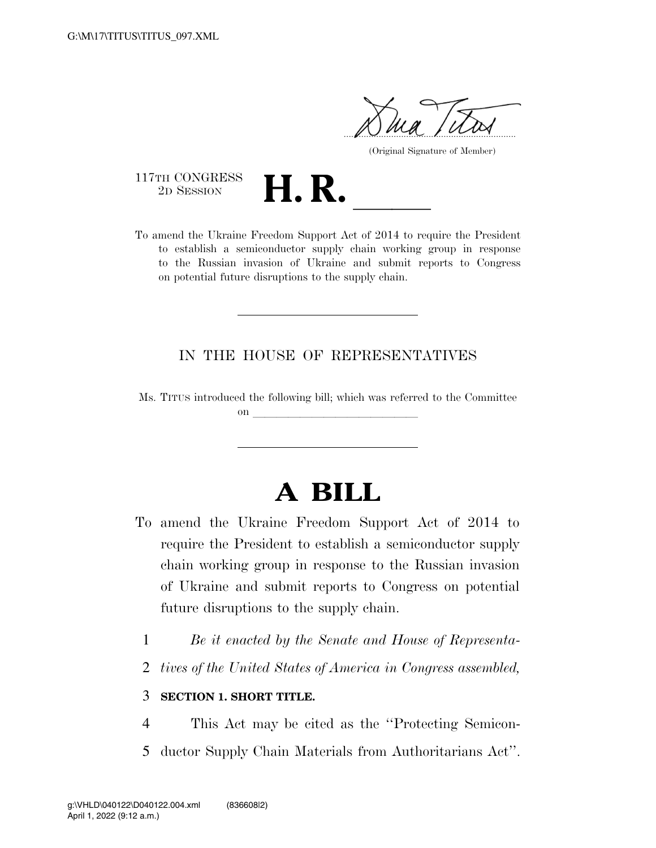$\gamma$ 

(Original Signature of Member)

117TH CONGRESS<br>2D SESSION

117TH CONGRESS<br>
2D SESSION<br>
To amend the Ukraine Freedom Support Act of 2014 to require the President to establish a semiconductor supply chain working group in response to the Russian invasion of Ukraine and submit reports to Congress on potential future disruptions to the supply chain.

## IN THE HOUSE OF REPRESENTATIVES

Ms. TITUS introduced the following bill; which was referred to the Committee on  $\overline{\qquad \qquad }$ 

## **A BILL**

- To amend the Ukraine Freedom Support Act of 2014 to require the President to establish a semiconductor supply chain working group in response to the Russian invasion of Ukraine and submit reports to Congress on potential future disruptions to the supply chain.
	- 1 *Be it enacted by the Senate and House of Representa-*
	- 2 *tives of the United States of America in Congress assembled,*

## 3 **SECTION 1. SHORT TITLE.**

4 This Act may be cited as the ''Protecting Semicon-5 ductor Supply Chain Materials from Authoritarians Act''.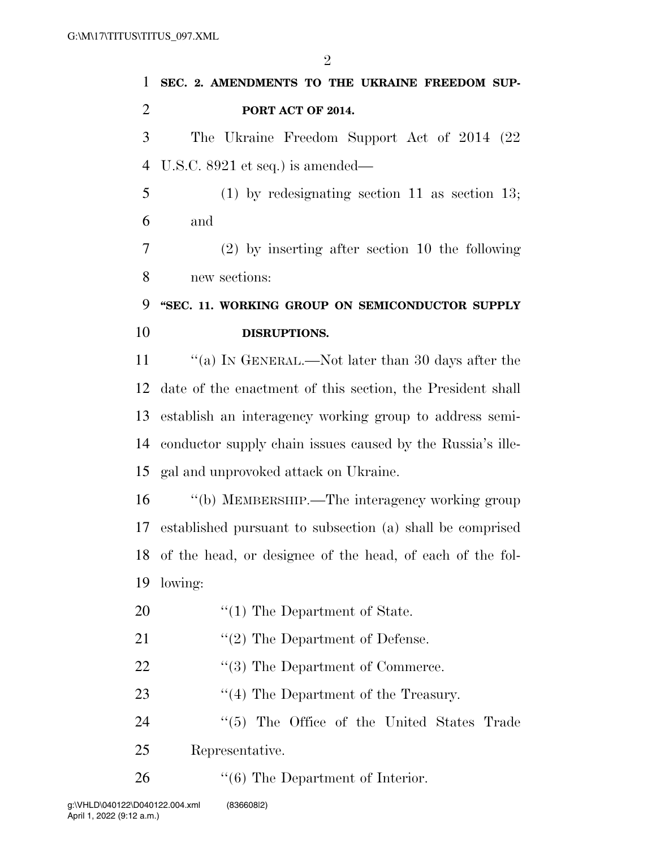**SEC. 2. AMENDMENTS TO THE UKRAINE FREEDOM SUP- PORT ACT OF 2014.**  The Ukraine Freedom Support Act of 2014 (22 U.S.C. 8921 et seq.) is amended— (1) by redesignating section 11 as section 13; and (2) by inserting after section 10 the following new sections: **''SEC. 11. WORKING GROUP ON SEMICONDUCTOR SUPPLY DISRUPTIONS.**  ''(a) IN GENERAL.—Not later than 30 days after the date of the enactment of this section, the President shall establish an interagency working group to address semi- conductor supply chain issues caused by the Russia's ille- gal and unprovoked attack on Ukraine. ''(b) MEMBERSHIP.—The interagency working group established pursuant to subsection (a) shall be comprised of the head, or designee of the head, of each of the fol- lowing:  $\frac{1}{2}$  The Department of State. 21 ''(2) The Department of Defense. 22 ''(3) The Department of Commerce. 23 ''(4) The Department of the Treasury.

24 ''(5) The Office of the United States Trade Representative.

26 "(6) The Department of Interior.

 $\mathfrak{D}$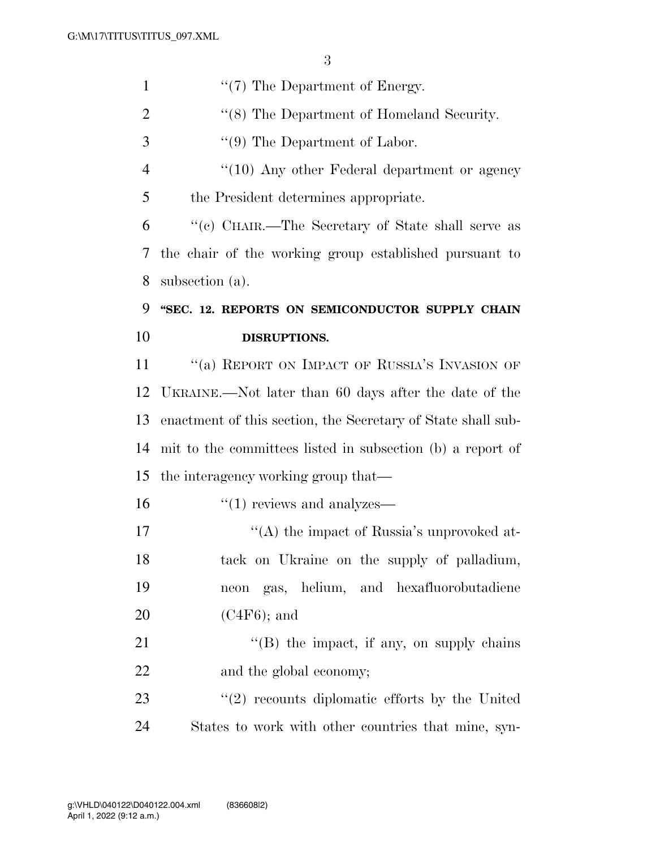| $\mathbf{1}$         | $\lq(7)$ The Department of Energy.                           |
|----------------------|--------------------------------------------------------------|
| $\overline{2}$       | "(8) The Department of Homeland Security.                    |
| 3                    | $\lq(9)$ The Department of Labor.                            |
| $\overline{4}$       | $``(10)$ Any other Federal department or agency              |
| 5                    | the President determines appropriate.                        |
| 6                    | "(c) CHAIR.—The Secretary of State shall serve as            |
| 7                    | the chair of the working group established pursuant to       |
| 8                    | subsection (a).                                              |
| 9                    | "SEC. 12. REPORTS ON SEMICONDUCTOR SUPPLY CHAIN              |
| 10                   | DISRUPTIONS.                                                 |
| 11                   | "(a) REPORT ON IMPACT OF RUSSIA'S INVASION OF                |
| 12                   | UKRAINE.—Not later than 60 days after the date of the        |
| 13                   | enactment of this section, the Secretary of State shall sub- |
| 14                   | mit to the committees listed in subsection (b) a report of   |
|                      |                                                              |
|                      | the interagency working group that—                          |
|                      | $\cdot\cdot(1)$ reviews and analyzes—                        |
|                      | "(A) the impact of Russia's unprovoked at-                   |
| 15<br>16<br>17<br>18 | tack on Ukraine on the supply of palladium,                  |
| 19                   | neon gas, helium, and hexafluorobutadiene                    |
| 20                   | $(C4F6)$ ; and                                               |
| 21                   | $\lq\lq$ the impact, if any, on supply chains                |
|                      | and the global economy;                                      |
| 22<br>23             | $\lq(2)$ recounts diplomatic efforts by the United           |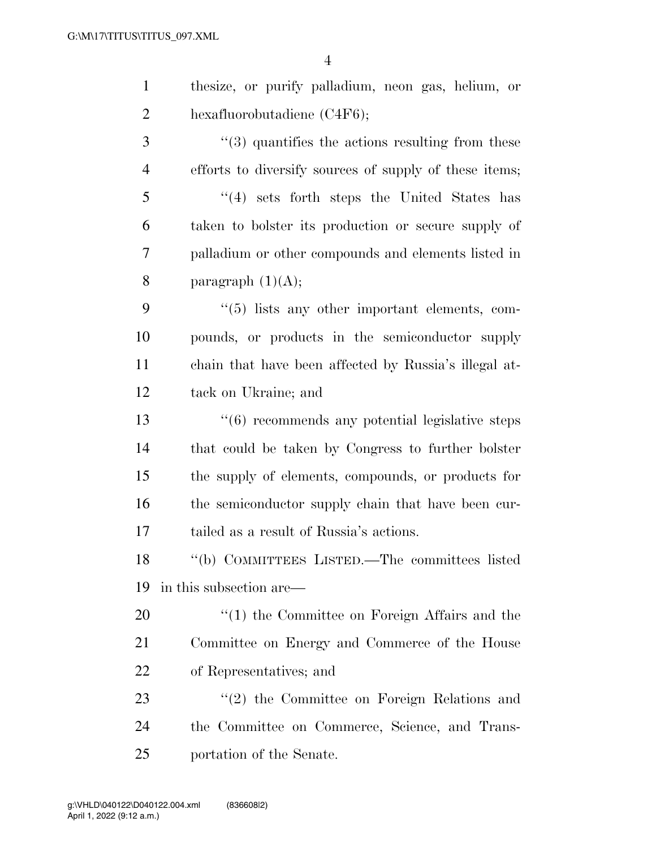| $\mathbf{1}$   | thesize, or purify palladium, neon gas, helium, or           |
|----------------|--------------------------------------------------------------|
| $\overline{2}$ | hexafluorobutadiene $(C4F6)$ ;                               |
| 3              | $\cdot\cdot$ (3) quantifies the actions resulting from these |
| $\overline{4}$ | efforts to diversify sources of supply of these items;       |
| 5              | $(4)$ sets forth steps the United States has                 |
| 6              | taken to bolster its production or secure supply of          |
| 7              | palladium or other compounds and elements listed in          |
| 8              | paragraph $(1)(A);$                                          |
| 9              | "(5) lists any other important elements, com-                |
| 10             | pounds, or products in the semiconductor supply              |
| 11             | chain that have been affected by Russia's illegal at-        |
| 12             | tack on Ukraine; and                                         |
| 13             | $``(6)$ recommends any potential legislative steps           |
| 14             | that could be taken by Congress to further bolster           |
| 15             | the supply of elements, compounds, or products for           |
| 16             | the semiconductor supply chain that have been cur-           |
| 17             | tailed as a result of Russia's actions.                      |
| 18             | "(b) COMMITTEES LISTED.—The committees listed                |
| 19             | in this subsection are—                                      |
| 20             | $f'(1)$ the Committee on Foreign Affairs and the             |
| 21             | Committee on Energy and Commerce of the House                |
| 22             | of Representatives; and                                      |
| 23             | $f'(2)$ the Committee on Foreign Relations and               |
| 24             | the Committee on Commerce, Science, and Trans-               |
| 25             | portation of the Senate.                                     |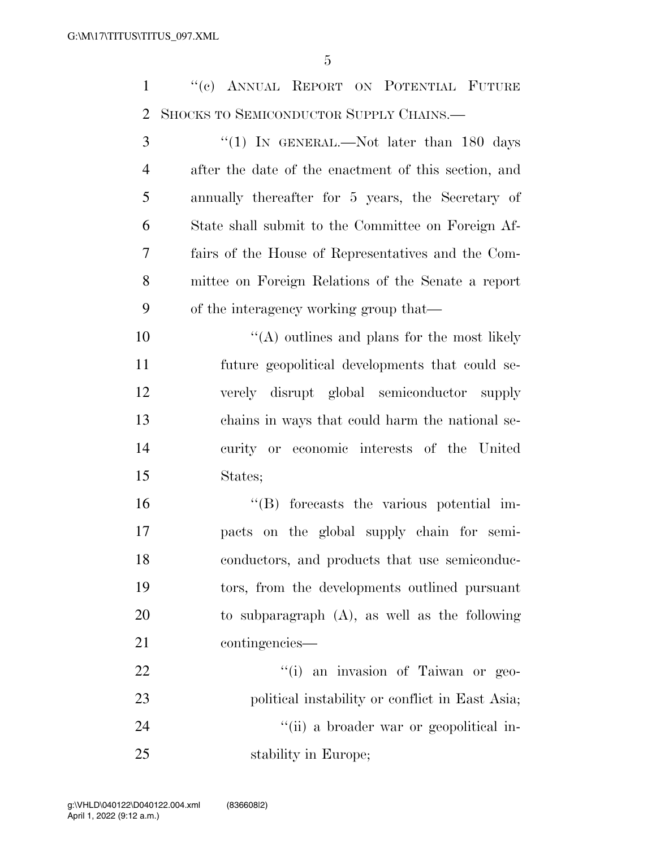''(c) ANNUAL REPORT ON POTENTIAL FUTURE SHOCKS TO SEMICONDUCTOR SUPPLY CHAINS.—

3 "(1) In GENERAL.—Not later than 180 days after the date of the enactment of this section, and annually thereafter for 5 years, the Secretary of State shall submit to the Committee on Foreign Af- fairs of the House of Representatives and the Com- mittee on Foreign Relations of the Senate a report of the interagency working group that—

 ''(A) outlines and plans for the most likely future geopolitical developments that could se- verely disrupt global semiconductor supply chains in ways that could harm the national se- curity or economic interests of the United States;

 ''(B) forecasts the various potential im- pacts on the global supply chain for semi-18 conductors, and products that use semiconduc- tors, from the developments outlined pursuant to subparagraph (A), as well as the following contingencies—

22  $\frac{1}{1}$  an invasion of Taiwan or geo-23 political instability or conflict in East Asia; 24 ''(ii) a broader war or geopolitical in-stability in Europe;